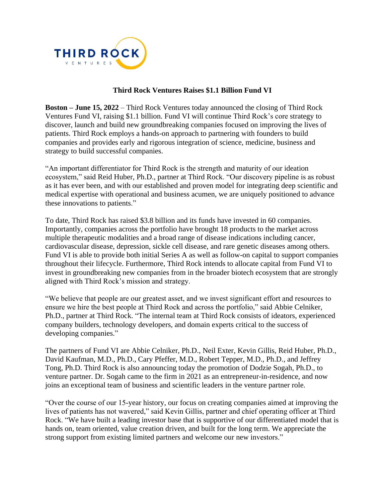

## **Third Rock Ventures Raises \$1.1 Billion Fund VI**

**Boston – June 15, 2022** – Third Rock Ventures today announced the closing of Third Rock Ventures Fund VI, raising \$1.1 billion. Fund VI will continue Third Rock's core strategy to discover, launch and build new groundbreaking companies focused on improving the lives of patients. Third Rock employs a hands-on approach to partnering with founders to build companies and provides early and rigorous integration of science, medicine, business and strategy to build successful companies.

"An important differentiator for Third Rock is the strength and maturity of our ideation ecosystem," said Reid Huber, Ph.D., partner at Third Rock. "Our discovery pipeline is as robust as it has ever been, and with our established and proven model for integrating deep scientific and medical expertise with operational and business acumen, we are uniquely positioned to advance these innovations to patients."

To date, Third Rock has raised \$3.8 billion and its funds have invested in 60 companies. Importantly, companies across the portfolio have brought 18 products to the market across multiple therapeutic modalities and a broad range of disease indications including cancer, cardiovascular disease, depression, sickle cell disease, and rare genetic diseases among others. Fund VI is able to provide both initial Series A as well as follow-on capital to support companies throughout their lifecycle. Furthermore, Third Rock intends to allocate capital from Fund VI to invest in groundbreaking new companies from in the broader biotech ecosystem that are strongly aligned with Third Rock's mission and strategy.

"We believe that people are our greatest asset, and we invest significant effort and resources to ensure we hire the best people at Third Rock and across the portfolio," said Abbie Celniker, Ph.D., partner at Third Rock. "The internal team at Third Rock consists of ideators, experienced company builders, technology developers, and domain experts critical to the success of developing companies."

The partners of Fund VI are Abbie Celniker, Ph.D., Neil Exter, Kevin Gillis, Reid Huber, Ph.D., David Kaufman, M.D., Ph.D., Cary Pfeffer, M.D., Robert Tepper, M.D., Ph.D., and Jeffrey Tong, Ph.D. Third Rock is also announcing today the promotion of Dodzie Sogah, Ph.D., to venture partner. Dr. Sogah came to the firm in 2021 as an entrepreneur-in-residence, and now joins an exceptional team of business and scientific leaders in the venture partner role.

"Over the course of our 15-year history, our focus on creating companies aimed at improving the lives of patients has not wavered," said Kevin Gillis, partner and chief operating officer at Third Rock. "We have built a leading investor base that is supportive of our differentiated model that is hands on, team oriented, value creation driven, and built for the long term. We appreciate the strong support from existing limited partners and welcome our new investors."